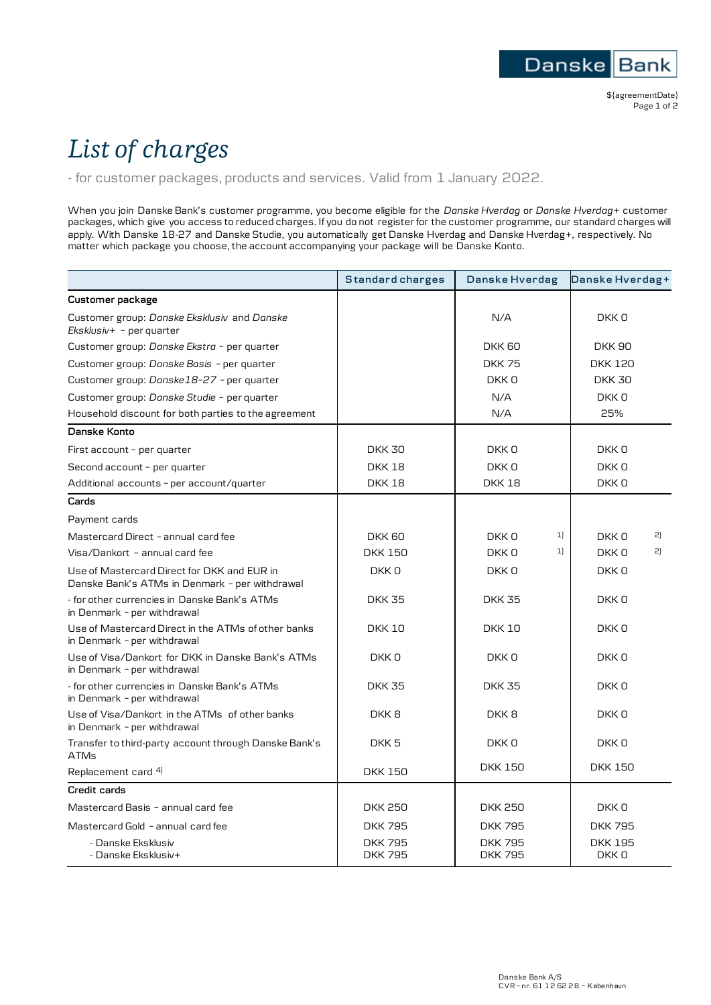## *List of charges*

- for customer packages, products and services. Valid from 1 January 2022.

When you join Danske Bank's customer programme, you become eligible for the *Danske Hverdag* or *Danske Hverdag+* customer packages, which give you access to reduced charges. If you do not register for the customer programme, our standard charges will apply. With Danske 18-27 and Danske Studie, you automatically get Danske Hverdag and Danske Hverdag+, respectively. No matter which package you choose, the account accompanying your package will be Danske Konto.

|                                                                                               | Standard charges                 | Danske Hverdag                  | Danske Hverdag+         |
|-----------------------------------------------------------------------------------------------|----------------------------------|---------------------------------|-------------------------|
| Customer package                                                                              |                                  |                                 |                         |
| Customer group: Danske Eksklusiv and Danske<br>$Eksklusiv+ - per quarter$                     |                                  | N/A                             | DKK 0                   |
| Customer group: Danske Ekstra - per quarter                                                   |                                  | <b>DKK 60</b>                   | <b>DKK 90</b>           |
| Customer group: Danske Basis - per quarter                                                    |                                  | <b>DKK75</b>                    | <b>DKK 120</b>          |
| Customer group: Danske18-27 - per quarter                                                     |                                  | DKK 0                           | <b>DKK 30</b>           |
| Customer group: Danske Studie - per quarter                                                   |                                  | N/A                             | DKK 0                   |
| Household discount for both parties to the agreement                                          |                                  | N/A                             | 25%                     |
| Danske Konto                                                                                  |                                  |                                 |                         |
| First account - per quarter                                                                   | <b>DKK 30</b>                    | DKK 0                           | DKK 0                   |
| Second account - per quarter                                                                  | <b>DKK18</b>                     | DKK 0                           | DKK 0                   |
| Additional accounts - per account/quarter                                                     | <b>DKK18</b>                     | <b>DKK18</b>                    | DKK 0                   |
| Cards                                                                                         |                                  |                                 |                         |
| Payment cards                                                                                 |                                  |                                 |                         |
| Mastercard Direct - annual card fee                                                           | DKK 60                           | 1]<br>DKK 0                     | 2]<br>DKK 0             |
| Visa/Dankort - annual card fee                                                                | <b>DKK 150</b>                   | 1]<br>DKK 0                     | 2]<br>DKK 0             |
| Use of Mastercard Direct for DKK and EUR in<br>Danske Bank's ATMs in Denmark - per withdrawal | DKK 0                            | DKK 0                           | DKK 0                   |
| - for other currencies in Danske Bank's ATMs<br>in Denmark - per withdrawal                   | <b>DKK 35</b>                    | <b>DKK 35</b>                   | DKK <sub>0</sub>        |
| Use of Mastercard Direct in the ATMs of other banks<br>in Denmark - per withdrawal            | <b>DKK 10</b>                    | <b>DKK 10</b>                   | DKK 0                   |
| Use of Visa/Dankort for DKK in Danske Bank's ATMs<br>in Denmark - per withdrawal              | DKK <sub>0</sub>                 | DKK 0                           | DKK <sub>0</sub>        |
| - for other currencies in Danske Bank's ATMs<br>in Denmark - per withdrawal                   | <b>DKK 35</b>                    | <b>DKK 35</b>                   | DKK <sub>0</sub>        |
| Use of Visa/Dankort in the ATMs of other banks<br>in Denmark - per withdrawal                 | DKK <sub>8</sub>                 | DKK <sub>8</sub>                | DKK 0                   |
| Transfer to third-party account through Danske Bank's<br><b>ATMs</b>                          | DKK <sub>5</sub>                 | DKK 0                           | DKK 0                   |
| Replacement card <sup>4)</sup>                                                                | <b>DKK 150</b>                   | <b>DKK 150</b>                  | <b>DKK 150</b>          |
| Credit cards                                                                                  |                                  |                                 |                         |
| Mastercard Basis - annual card fee                                                            | <b>DKK 250</b>                   | <b>DKK 250</b>                  | DKK 0                   |
| Mastercard Gold - annual card fee                                                             | <b>DKK795</b>                    | <b>DKK795</b>                   | <b>DKK795</b>           |
| - Danske Eksklusiv<br>- Danske Eksklusiv+                                                     | <b>DKK 795</b><br><b>DKK 795</b> | <b>DKK 795</b><br><b>DKK795</b> | <b>DKK 195</b><br>DKK 0 |